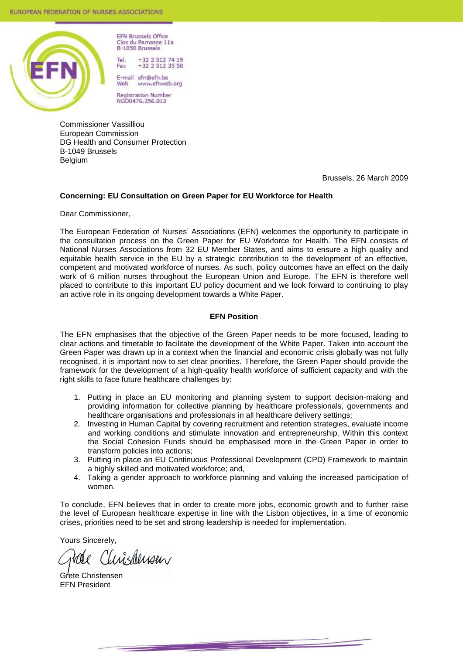

**EFN Brussels Office** Clos du Parnasse 11a B-1050 Brussels

Tel +32 2 512 74 19  $+32$  2 512 35 50 Fax

E-mail efn@efn.be www.efnweb.org Web

Registration Number<br>NGO0476.356.013

Commissioner Vassilliou European Commission DG Health and Consumer Protection B-1049 Brussels Belgium

Brussels, 26 March 2009

#### **Concerning: EU Consultation on Green Paper for EU Workforce for Health**

Dear Commissioner,

The European Federation of Nurses' Associations (EFN) welcomes the opportunity to participate in the consultation process on the Green Paper for EU Workforce for Health. The EFN consists of National Nurses Associations from 32 EU Member States, and aims to ensure a high quality and equitable health service in the EU by a strategic contribution to the development of an effective, competent and motivated workforce of nurses. As such, policy outcomes have an effect on the daily work of 6 million nurses throughout the European Union and Europe. The EFN is therefore well placed to contribute to this important EU policy document and we look forward to continuing to play an active role in its ongoing development towards a White Paper.

#### **EFN Position**

The EFN emphasises that the objective of the Green Paper needs to be more focused, leading to clear actions and timetable to facilitate the development of the White Paper. Taken into account the Green Paper was drawn up in a context when the financial and economic crisis globally was not fully recognised, it is important now to set clear priorities. Therefore, the Green Paper should provide the framework for the development of a high-quality health workforce of sufficient capacity and with the right skills to face future healthcare challenges by:

- 1. Putting in place an EU monitoring and planning system to support decision-making and providing information for collective planning by healthcare professionals, governments and healthcare organisations and professionals in all healthcare delivery settings;
- 2. Investing in Human Capital by covering recruitment and retention strategies, evaluate income and working conditions and stimulate innovation and entrepreneurship. Within this context the Social Cohesion Funds should be emphasised more in the Green Paper in order to transform policies into actions;
- 3. Putting in place an EU Continuous Professional Development (CPD) Framework to maintain a highly skilled and motivated workforce; and,
- 4. Taking a gender approach to workforce planning and valuing the increased participation of women.

To conclude, EFN believes that in order to create more jobs, economic growth and to further raise the level of European healthcare expertise in line with the Lisbon objectives, in a time of economic crises, priorities need to be set and strong leadership is needed for implementation.

Yours Sincerely,

*LuisMusen* 

Grete Christensen EFN President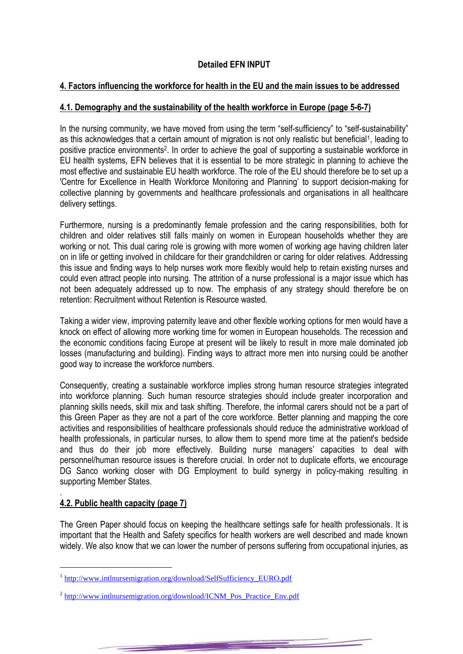# **Detailed EFN INPUT**

## **4. Factors influencing the workforce for health in the EU and the main issues to be addressed**

## **4.1. Demography and the sustainability of the health workforce in Europe (page 5-6-7)**

In the nursing community, we have moved from using the term "self-sufficiency" to "self-sustainability" as this acknowledges that a certain amount of migration is not only realistic but beneficial<sup>1</sup>, leading to positive practice environments<sup>2</sup> . In order to achieve the goal of supporting a sustainable workforce in EU health systems, EFN believes that it is essential to be more strategic in planning to achieve the most effective and sustainable EU health workforce. The role of the EU should therefore be to set up a 'Centre for Excellence in Health Workforce Monitoring and Planning" to support decision-making for collective planning by governments and healthcare professionals and organisations in all healthcare delivery settings.

Furthermore, nursing is a predominantly female profession and the caring responsibilities, both for children and older relatives still falls mainly on women in European households whether they are working or not. This dual caring role is growing with more women of working age having children later on in life or getting involved in childcare for their grandchildren or caring for older relatives. Addressing this issue and finding ways to help nurses work more flexibly would help to retain existing nurses and could even attract people into nursing. The attrition of a nurse professional is a major issue which has not been adequately addressed up to now. The emphasis of any strategy should therefore be on retention: Recruitment without Retention is Resource wasted.

Taking a wider view, improving paternity leave and other flexible working options for men would have a knock on effect of allowing more working time for women in European households. The recession and the economic conditions facing Europe at present will be likely to result in more male dominated job losses (manufacturing and building). Finding ways to attract more men into nursing could be another good way to increase the workforce numbers.

Consequently, creating a sustainable workforce implies strong human resource strategies integrated into workforce planning. Such human resource strategies should include greater incorporation and planning skills needs, skill mix and task shifting. Therefore, the informal carers should not be a part of this Green Paper as they are not a part of the core workforce. Better planning and mapping the core activities and responsibilities of healthcare professionals should reduce the administrative workload of health professionals, in particular nurses, to allow them to spend more time at the patient's bedside and thus do their job more effectively. Building nurse managers" capacities to deal with personnel/human resource issues is therefore crucial. In order not to duplicate efforts, we encourage DG Sanco working closer with DG Employment to build synergy in policy-making resulting in supporting Member States.

#### . **4.2. Public health capacity (page 7)**

The Green Paper should focus on keeping the healthcare settings safe for health professionals. It is important that the Health and Safety specifics for health workers are well described and made known widely. We also know that we can lower the number of persons suffering from occupational injuries, as

<sup>&</sup>lt;sup>1</sup> [http://www.intlnursemigration.org/download/SelfSufficiency\\_EURO.pdf](http://www.intlnursemigration.org/download/SelfSufficiency_EURO.pdf)

<sup>&</sup>lt;sup>2</sup> [http://www.intlnursemigration.org/download/ICNM\\_Pos\\_Practice\\_Env.pdf](http://www.intlnursemigration.org/download/ICNM_Pos_Practice_Env.pdf)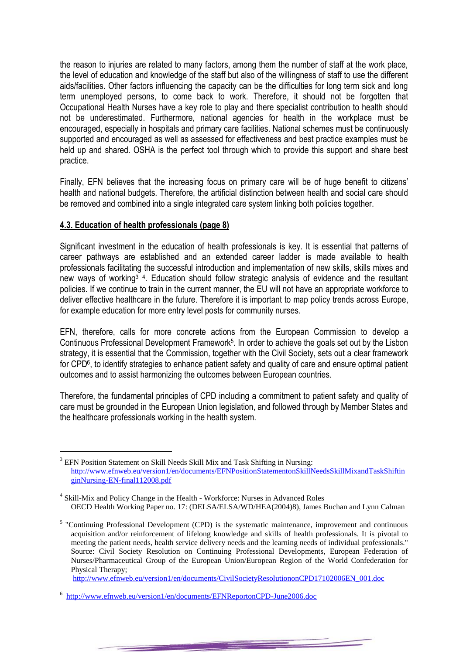the reason to injuries are related to many factors, among them the number of staff at the work place, the level of education and knowledge of the staff but also of the willingness of staff to use the different aids/facilities. Other factors influencing the capacity can be the difficulties for long term sick and long term unemployed persons, to come back to work. Therefore, it should not be forgotten that Occupational Health Nurses have a key role to play and there specialist contribution to health should not be underestimated. Furthermore, national agencies for health in the workplace must be encouraged, especially in hospitals and primary care facilities. National schemes must be continuously supported and encouraged as well as assessed for effectiveness and best practice examples must be held up and shared. OSHA is the perfect tool through which to provide this support and share best practice.

Finally, EFN believes that the increasing focus on primary care will be of huge benefit to citizens' health and national budgets. Therefore, the artificial distinction between health and social care should be removed and combined into a single integrated care system linking both policies together.

## **4.3. Education of health professionals (page 8)**

Significant investment in the education of health professionals is key. It is essential that patterns of career pathways are established and an extended career ladder is made available to health professionals facilitating the successful introduction and implementation of new skills, skills mixes and new ways of working<sup>3</sup><sup>4</sup>. Education should follow strategic analysis of evidence and the resultant policies. If we continue to train in the current manner, the EU will not have an appropriate workforce to deliver effective healthcare in the future. Therefore it is important to map policy trends across Europe, for example education for more entry level posts for community nurses.

EFN, therefore, calls for more concrete actions from the European Commission to develop a Continuous Professional Development Framework<sup>5</sup>. In order to achieve the goals set out by the Lisbon strategy, it is essential that the Commission, together with the Civil Society, sets out a clear framework for CPD<sup>6</sup>, to identify strategies to enhance patient safety and quality of care and ensure optimal patient outcomes and to assist harmonizing the outcomes between European countries.

Therefore, the fundamental principles of CPD including a commitment to patient safety and quality of care must be grounded in the European Union legislation, and followed through by Member States and the healthcare professionals working in the health system.

[http://www.efnweb.eu/version1/en/documents/CivilSocietyResolutiononCPD17102006EN\\_001.doc](http://www.efnweb.eu/version1/en/documents/CivilSocietyResolutiononCPD17102006EN_001.doc)

<sup>&</sup>lt;sup>3</sup> EFN Position Statement on Skill Needs Skill Mix and Task Shifting in Nursing: [http://www.efnweb.eu/version1/en/documents/EFNPositionStatementonSkillNeedsSkillMixandTaskShiftin](http://www.efnweb.eu/version1/en/documents/EFNPositionStatementonSkillNeedsSkillMixandTaskShiftinginNursing-EN-final112008.pdf) [ginNursing-EN-final112008.pdf](http://www.efnweb.eu/version1/en/documents/EFNPositionStatementonSkillNeedsSkillMixandTaskShiftinginNursing-EN-final112008.pdf)

<sup>&</sup>lt;sup>4</sup> Skill-Mix and Policy Change in the Health - Workforce: Nurses in Advanced Roles OECD Health Working Paper no. 17: (DELSA/ELSA/WD/HEA(2004)8), James Buchan and Lynn Calman

<sup>&</sup>lt;sup>5</sup> "Continuing Professional Development (CPD) is the systematic maintenance, improvement and continuous acquisition and/or reinforcement of lifelong knowledge and skills of health professionals. It is pivotal to meeting the patient needs, health service delivery needs and the learning needs of individual professionals." Source: Civil Society Resolution on Continuing Professional Developments, European Federation of Nurses/Pharmaceutical Group of the European Union/European Region of the World Confederation for Physical Therapy;

<sup>&</sup>lt;sup>6</sup> <http://www.efnweb.eu/version1/en/documents/EFNReportonCPD-June2006.doc>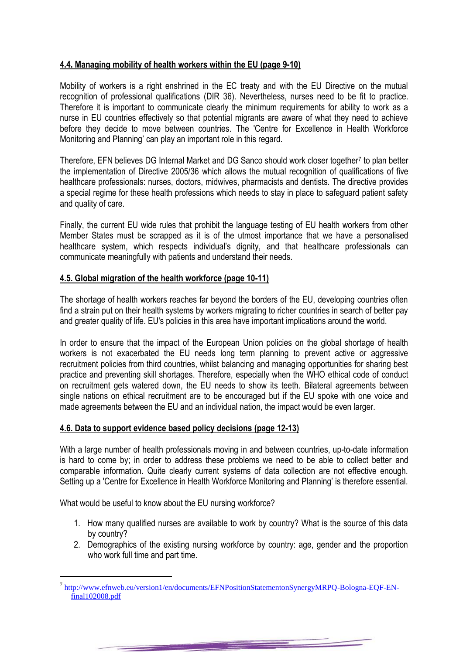## **4.4. Managing mobility of health workers within the EU (page 9-10)**

Mobility of workers is a right enshrined in the EC treaty and with the EU Directive on the mutual recognition of professional qualifications (DIR 36). Nevertheless, nurses need to be fit to practice. Therefore it is important to communicate clearly the minimum requirements for ability to work as a nurse in EU countries effectively so that potential migrants are aware of what they need to achieve before they decide to move between countries. The 'Centre for Excellence in Health Workforce Monitoring and Planning" can play an important role in this regard.

Therefore, EFN believes DG Internal Market and DG Sanco should work closer together<sup>7</sup> to plan better the implementation of Directive 2005/36 which allows the mutual recognition of qualifications of five healthcare professionals: nurses, doctors, midwives, pharmacists and dentists. The directive provides a special regime for these health professions which needs to stay in place to safeguard patient safety and quality of care.

Finally, the current EU wide rules that prohibit the language testing of EU health workers from other Member States must be scrapped as it is of the utmost importance that we have a personalised healthcare system, which respects individual's dignity, and that healthcare professionals can communicate meaningfully with patients and understand their needs.

## **4.5. Global migration of the health workforce (page 10-11)**

The shortage of health workers reaches far beyond the borders of the EU, developing countries often find a strain put on their health systems by workers migrating to richer countries in search of better pay and greater quality of life. EU's policies in this area have important implications around the world.

In order to ensure that the impact of the European Union policies on the global shortage of health workers is not exacerbated the EU needs long term planning to prevent active or aggressive recruitment policies from third countries, whilst balancing and managing opportunities for sharing best practice and preventing skill shortages. Therefore, especially when the WHO ethical code of conduct on recruitment gets watered down, the EU needs to show its teeth. Bilateral agreements between single nations on ethical recruitment are to be encouraged but if the EU spoke with one voice and made agreements between the EU and an individual nation, the impact would be even larger.

## **4.6. Data to support evidence based policy decisions (page 12-13)**

With a large number of health professionals moving in and between countries, up-to-date information is hard to come by; in order to address these problems we need to be able to collect better and comparable information. Quite clearly current systems of data collection are not effective enough. Setting up a 'Centre for Excellence in Health Workforce Monitoring and Planning" is therefore essential.

What would be useful to know about the EU nursing workforce?

- 1. How many qualified nurses are available to work by country? What is the source of this data by country?
- 2. Demographics of the existing nursing workforce by country: age, gender and the proportion who work full time and part time.

 $\overline{a}$ <sup>7</sup> [http://www.efnweb.eu/version1/en/documents/EFNPositionStatementonSynergyMRPQ-Bologna-EQF-EN](http://www.efnweb.eu/version1/en/documents/EFNPositionStatementonSynergyMRPQ-Bologna-EQF-EN-final102008.pdf)[final102008.pdf](http://www.efnweb.eu/version1/en/documents/EFNPositionStatementonSynergyMRPQ-Bologna-EQF-EN-final102008.pdf)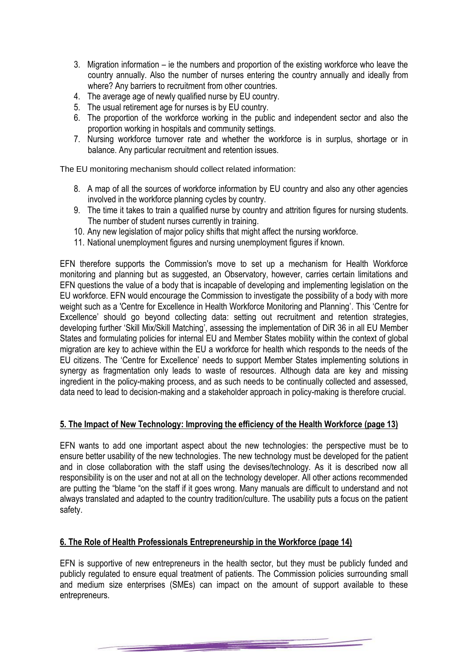- 3. Migration information ie the numbers and proportion of the existing workforce who leave the country annually. Also the number of nurses entering the country annually and ideally from where? Any barriers to recruitment from other countries.
- 4. The average age of newly qualified nurse by EU country.
- 5. The usual retirement age for nurses is by EU country.
- 6. The proportion of the workforce working in the public and independent sector and also the proportion working in hospitals and community settings.
- 7. Nursing workforce turnover rate and whether the workforce is in surplus, shortage or in balance. Any particular recruitment and retention issues.

The EU monitoring mechanism should collect related information:

- 8. A map of all the sources of workforce information by EU country and also any other agencies involved in the workforce planning cycles by country.
- 9. The time it takes to train a qualified nurse by country and attrition figures for nursing students. The number of student nurses currently in training.
- 10. Any new legislation of major policy shifts that might affect the nursing workforce.
- 11. National unemployment figures and nursing unemployment figures if known.

EFN therefore supports the Commission's move to set up a mechanism for Health Workforce monitoring and planning but as suggested, an Observatory, however, carries certain limitations and EFN questions the value of a body that is incapable of developing and implementing legislation on the EU workforce. EFN would encourage the Commission to investigate the possibility of a body with more weight such as a 'Centre for Excellence in Health Workforce Monitoring and Planning". This "Centre for Excellence' should go beyond collecting data: setting out recruitment and retention strategies, developing further "Skill Mix/Skill Matching", assessing the implementation of DiR 36 in all EU Member States and formulating policies for internal EU and Member States mobility within the context of global migration are key to achieve within the EU a workforce for health which responds to the needs of the EU citizens. The "Centre for Excellence" needs to support Member States implementing solutions in synergy as fragmentation only leads to waste of resources. Although data are key and missing ingredient in the policy-making process, and as such needs to be continually collected and assessed, data need to lead to decision-making and a stakeholder approach in policy-making is therefore crucial.

## **5. The Impact of New Technology: Improving the efficiency of the Health Workforce (page 13)**

EFN wants to add one important aspect about the new technologies: the perspective must be to ensure better usability of the new technologies. The new technology must be developed for the patient and in close collaboration with the staff using the devises/technology. As it is described now all responsibility is on the user and not at all on the technology developer. All other actions recommended are putting the "blame "on the staff if it goes wrong. Many manuals are difficult to understand and not always translated and adapted to the country tradition/culture. The usability puts a focus on the patient safety.

## **6. The Role of Health Professionals Entrepreneurship in the Workforce (page 14)**

EFN is supportive of new entrepreneurs in the health sector, but they must be publicly funded and publicly regulated to ensure equal treatment of patients. The Commission policies surrounding small and medium size enterprises (SMEs) can impact on the amount of support available to these entrepreneurs.